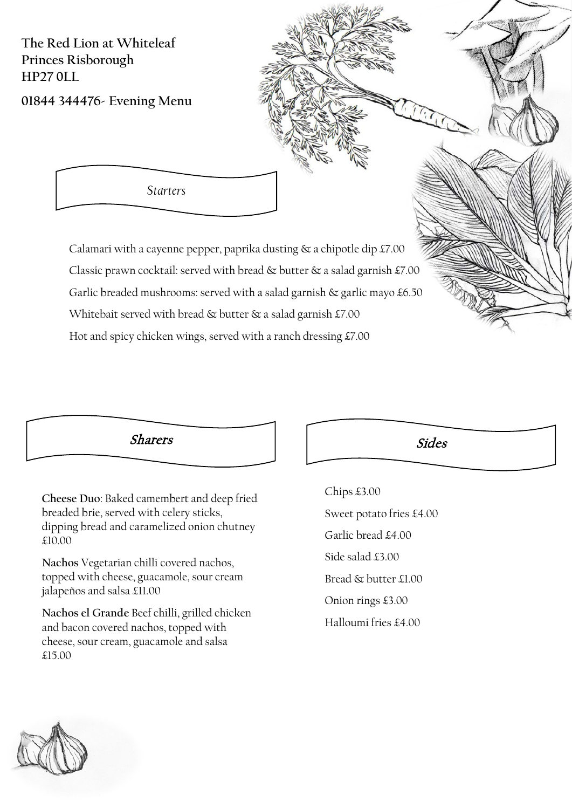**The Red Lion at Whiteleaf Princes Risborough HP27 0LL**

**01844 344476- Evening Menu**

*Starters*

Calamari with a cayenne pepper, paprika dusting  $\&$  a chipotle dip £7.00 Classic prawn cocktail: served with bread & butter & a salad garnish £7.00 Garlic breaded mushrooms: served with a salad garnish & garlic mayo £6.50 Whitebait served with bread & butter & a salad garnish £7.00 Hot and spicy chicken wings, served with a ranch dressing £7.00



**Cheese Duo**: Baked camembert and deep fried breaded brie, served with celery sticks, dipping bread and caramelized onion chutney £10.00

**Nachos** Vegetarian chilli covered nachos, topped with cheese, guacamole, sour cream jalapeños and salsa £11.00

**Nachos el Grande** Beef chilli, grilled chicken and bacon covered nachos, topped with cheese, sour cream, guacamole and salsa £15.00

Chips £3.00 Sweet potato fries £4.00 Garlic bread £4.00 Side salad £3.00 Bread & butter £1.00 Onion rings £3.00 Halloumi fries £4.00